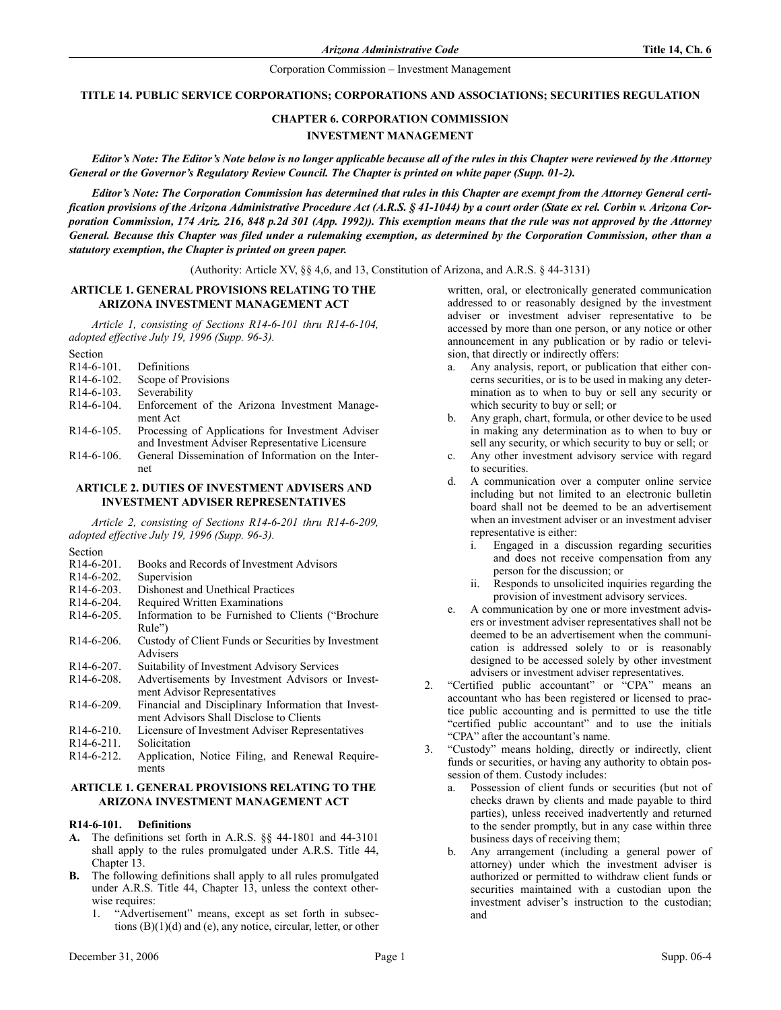#### **TITLE 14. PUBLIC SERVICE CORPORATIONS; CORPORATIONS AND ASSOCIATIONS; SECURITIES REGULATION**

# **CHAPTER 6. CORPORATION COMMISSION INVESTMENT MANAGEMENT**

*Editor's Note: The Editor's Note below is no longer applicable because all of the rules in this Chapter were reviewed by the Attorney General or the Governor's Regulatory Review Council. The Chapter is printed on white paper (Supp. 01-2).*

*Editor's Note: The Corporation Commission has determined that rules in this Chapter are exempt from the Attorney General certification provisions of the Arizona Administrative Procedure Act (A.R.S. § 41-1044) by a court order (State ex rel. Corbin v. Arizona Corporation Commission, 174 Ariz. 216, 848 p.2d 301 (App. 1992)). This exemption means that the rule was not approved by the Attorney General. Because this Chapter was filed under a rulemaking exemption, as determined by the Corporation Commission, other than a statutory exemption, the Chapter is printed on green paper.*

(Authority: Article XV, §§ 4,6, and 13, Constitution of Arizona, and A.R.S. § 44-3131)

# **ARTICLE 1. GENERAL PROVISIONS RELATING TO THE ARIZONA INVESTMENT MANAGEMENT ACT**

*Article 1, consisting of Sections R14-6-101 thru R14-6-104, adopted effective July 19, 1996 (Supp. 96-3).*

| эесион        |                                                                                                      |
|---------------|------------------------------------------------------------------------------------------------------|
| $R14-6-101$ . | Definitions                                                                                          |
| $R14-6-102$ . | Scope of Provisions                                                                                  |
| $R14-6-103$ . | Severability                                                                                         |
| $R14-6-104.$  | Enforcement of the Arizona Investment Manage-<br>ment Act                                            |
| $R14-6-105$ . | Processing of Applications for Investment Adviser<br>and Investment Adviser Representative Licensure |
| $R14-6-106$ . | General Dissemination of Information on the Inter-<br>net                                            |

## **ARTICLE 2. DUTIES OF INVESTMENT ADVISERS AND INVESTMENT ADVISER REPRESENTATIVES**

*Article 2, consisting of Sections R14-6-201 thru R14-6-209, adopted effective July 19, 1996 (Supp. 96-3).*

Section

Section

| R14-6-201. | Books and Records of Investment Advisors |
|------------|------------------------------------------|
|------------|------------------------------------------|

- R14-6-202. Supervision
- R14-6-203. Dishonest and Unethical Practices<br>R14-6-204. Required Written Examinations
- Required Written Examinations
- R14-6-205. Information to be Furnished to Clients ("Brochure Rule")
- R14-6-206. Custody of Client Funds or Securities by Investment Advisers
- R14-6-207. Suitability of Investment Advisory Services
- R14-6-208. Advertisements by Investment Advisors or Investment Advisor Representatives
- R14-6-209. Financial and Disciplinary Information that Investment Advisors Shall Disclose to Clients
- R14-6-210. Licensure of Investment Adviser Representatives
- R<sub>14</sub>-6-211. Solicitation<br>R<sub>14-6-212</sub>. Application
- Application, Notice Filing, and Renewal Requirements

# **ARTICLE 1. GENERAL PROVISIONS RELATING TO THE ARIZONA INVESTMENT MANAGEMENT ACT**

## **R14-6-101. Definitions**

- **A.** The definitions set forth in A.R.S. §§ 44-1801 and 44-3101 shall apply to the rules promulgated under A.R.S. Title 44, Chapter 13.
- **B.** The following definitions shall apply to all rules promulgated under A.R.S. Title 44, Chapter 13, unless the context otherwise requires:
	- 1. "Advertisement" means, except as set forth in subsections (B)(1)(d) and (e), any notice, circular, letter, or other

written, oral, or electronically generated communication addressed to or reasonably designed by the investment adviser or investment adviser representative to be accessed by more than one person, or any notice or other announcement in any publication or by radio or television, that directly or indirectly offers:

- a. Any analysis, report, or publication that either concerns securities, or is to be used in making any determination as to when to buy or sell any security or which security to buy or sell; or
- b. Any graph, chart, formula, or other device to be used in making any determination as to when to buy or sell any security, or which security to buy or sell; or
- c. Any other investment advisory service with regard to securities.
- d. A communication over a computer online service including but not limited to an electronic bulletin board shall not be deemed to be an advertisement when an investment adviser or an investment adviser representative is either:
	- i. Engaged in a discussion regarding securities and does not receive compensation from any person for the discussion; or
	- ii. Responds to unsolicited inquiries regarding the provision of investment advisory services.
- e. A communication by one or more investment advisers or investment adviser representatives shall not be deemed to be an advertisement when the communication is addressed solely to or is reasonably designed to be accessed solely by other investment advisers or investment adviser representatives.
- 2. "Certified public accountant" or "CPA" means an accountant who has been registered or licensed to practice public accounting and is permitted to use the title "certified public accountant" and to use the initials "CPA" after the accountant's name.
- 3. "Custody" means holding, directly or indirectly, client funds or securities, or having any authority to obtain possession of them. Custody includes:
	- a. Possession of client funds or securities (but not of checks drawn by clients and made payable to third parties), unless received inadvertently and returned to the sender promptly, but in any case within three business days of receiving them;
	- b. Any arrangement (including a general power of attorney) under which the investment adviser is authorized or permitted to withdraw client funds or securities maintained with a custodian upon the investment adviser's instruction to the custodian; and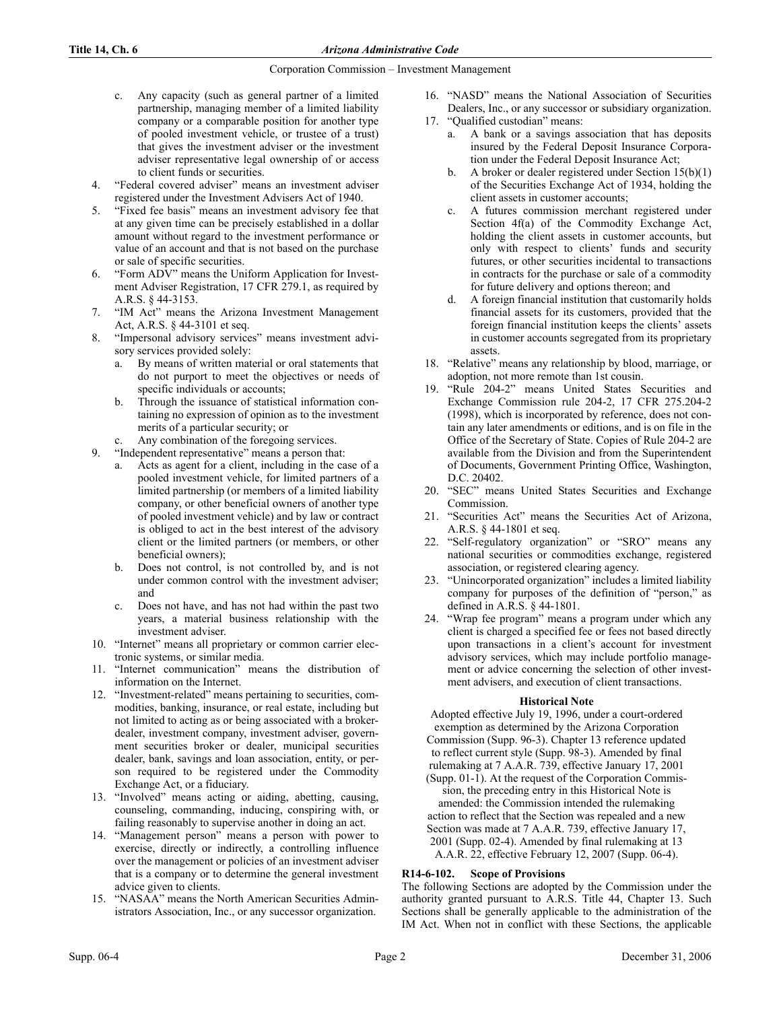- c. Any capacity (such as general partner of a limited partnership, managing member of a limited liability company or a comparable position for another type of pooled investment vehicle, or trustee of a trust) that gives the investment adviser or the investment adviser representative legal ownership of or access to client funds or securities.
- 4. "Federal covered adviser" means an investment adviser registered under the Investment Advisers Act of 1940.
- 5. "Fixed fee basis" means an investment advisory fee that at any given time can be precisely established in a dollar amount without regard to the investment performance or value of an account and that is not based on the purchase or sale of specific securities.
- 6. "Form ADV" means the Uniform Application for Investment Adviser Registration, 17 CFR 279.1, as required by A.R.S. § 44-3153.
- 7. "IM Act" means the Arizona Investment Management Act, A.R.S. § 44-3101 et seq.
- 8. "Impersonal advisory services" means investment advisory services provided solely:
	- a. By means of written material or oral statements that do not purport to meet the objectives or needs of specific individuals or accounts;
	- b. Through the issuance of statistical information containing no expression of opinion as to the investment merits of a particular security; or
- Any combination of the foregoing services.
- 9. "Independent representative" means a person that:
	- a. Acts as agent for a client, including in the case of a pooled investment vehicle, for limited partners of a limited partnership (or members of a limited liability company, or other beneficial owners of another type of pooled investment vehicle) and by law or contract is obliged to act in the best interest of the advisory client or the limited partners (or members, or other beneficial owners);
	- b. Does not control, is not controlled by, and is not under common control with the investment adviser; and
	- c. Does not have, and has not had within the past two years, a material business relationship with the investment adviser.
- 10. "Internet" means all proprietary or common carrier electronic systems, or similar media.
- 11. "Internet communication" means the distribution of information on the Internet.
- 12. "Investment-related" means pertaining to securities, commodities, banking, insurance, or real estate, including but not limited to acting as or being associated with a brokerdealer, investment company, investment adviser, government securities broker or dealer, municipal securities dealer, bank, savings and loan association, entity, or person required to be registered under the Commodity Exchange Act, or a fiduciary.
- 13. "Involved" means acting or aiding, abetting, causing, counseling, commanding, inducing, conspiring with, or failing reasonably to supervise another in doing an act.
- 14. "Management person" means a person with power to exercise, directly or indirectly, a controlling influence over the management or policies of an investment adviser that is a company or to determine the general investment advice given to clients.
- 15. "NASAA" means the North American Securities Administrators Association, Inc., or any successor organization.
- 16. "NASD" means the National Association of Securities Dealers, Inc., or any successor or subsidiary organization.
- 17. "Qualified custodian" means:
	- a. A bank or a savings association that has deposits insured by the Federal Deposit Insurance Corporation under the Federal Deposit Insurance Act;
		- b. A broker or dealer registered under Section  $15(b)(1)$ of the Securities Exchange Act of 1934, holding the client assets in customer accounts;
		- c. A futures commission merchant registered under Section 4f(a) of the Commodity Exchange Act, holding the client assets in customer accounts, but only with respect to clients' funds and security futures, or other securities incidental to transactions in contracts for the purchase or sale of a commodity for future delivery and options thereon; and
	- d. A foreign financial institution that customarily holds financial assets for its customers, provided that the foreign financial institution keeps the clients' assets in customer accounts segregated from its proprietary assets.
- 18. "Relative" means any relationship by blood, marriage, or adoption, not more remote than 1st cousin.
- 19. "Rule 204-2" means United States Securities and Exchange Commission rule 204-2, 17 CFR 275.204-2 (1998), which is incorporated by reference, does not contain any later amendments or editions, and is on file in the Office of the Secretary of State. Copies of Rule 204-2 are available from the Division and from the Superintendent of Documents, Government Printing Office, Washington, D.C. 20402.
- 20. "SEC" means United States Securities and Exchange Commission.
- 21. "Securities Act" means the Securities Act of Arizona, A.R.S. § 44-1801 et seq.
- 22. "Self-regulatory organization" or "SRO" means any national securities or commodities exchange, registered association, or registered clearing agency.
- 23. "Unincorporated organization" includes a limited liability company for purposes of the definition of "person," as defined in A.R.S. § 44-1801.
- 24. "Wrap fee program" means a program under which any client is charged a specified fee or fees not based directly upon transactions in a client's account for investment advisory services, which may include portfolio management or advice concerning the selection of other investment advisers, and execution of client transactions.

# **Historical Note**

Adopted effective July 19, 1996, under a court-ordered exemption as determined by the Arizona Corporation Commission (Supp. 96-3). Chapter 13 reference updated to reflect current style (Supp. 98-3). Amended by final rulemaking at 7 A.A.R. 739, effective January 17, 2001 (Supp. 01-1). At the request of the Corporation Commis-

sion, the preceding entry in this Historical Note is amended: the Commission intended the rulemaking action to reflect that the Section was repealed and a new Section was made at 7 A.A.R. 739, effective January 17, 2001 (Supp. 02-4). Amended by final rulemaking at 13 A.A.R. 22, effective February 12, 2007 (Supp. 06-4).

# **R14-6-102. Scope of Provisions**

The following Sections are adopted by the Commission under the authority granted pursuant to A.R.S. Title 44, Chapter 13. Such Sections shall be generally applicable to the administration of the IM Act. When not in conflict with these Sections, the applicable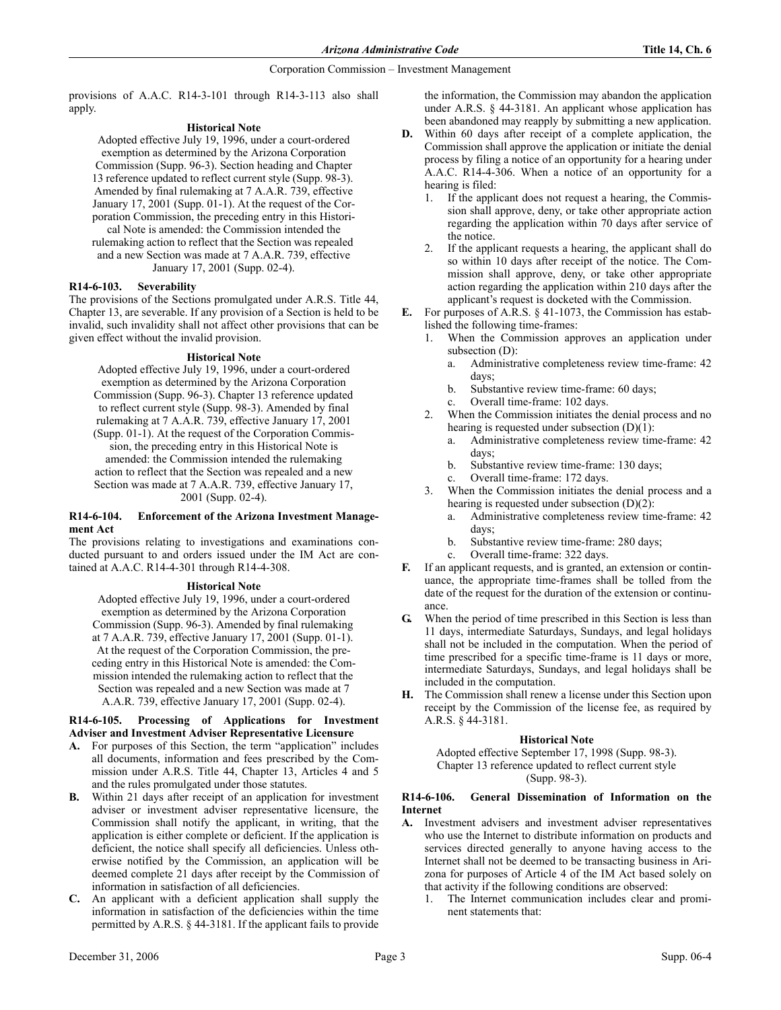provisions of A.A.C. R14-3-101 through R14-3-113 also shall apply.

# **Historical Note**

Adopted effective July 19, 1996, under a court-ordered exemption as determined by the Arizona Corporation Commission (Supp. 96-3). Section heading and Chapter 13 reference updated to reflect current style (Supp. 98-3). Amended by final rulemaking at 7 A.A.R. 739, effective January 17, 2001 (Supp. 01-1). At the request of the Corporation Commission, the preceding entry in this Historical Note is amended: the Commission intended the rulemaking action to reflect that the Section was repealed and a new Section was made at 7 A.A.R. 739, effective January 17, 2001 (Supp. 02-4).

# **R14-6-103. Severability**

The provisions of the Sections promulgated under A.R.S. Title 44, Chapter 13, are severable. If any provision of a Section is held to be invalid, such invalidity shall not affect other provisions that can be given effect without the invalid provision.

# **Historical Note**

Adopted effective July 19, 1996, under a court-ordered exemption as determined by the Arizona Corporation Commission (Supp. 96-3). Chapter 13 reference updated to reflect current style (Supp. 98-3). Amended by final rulemaking at 7 A.A.R. 739, effective January 17, 2001 (Supp. 01-1). At the request of the Corporation Commission, the preceding entry in this Historical Note is amended: the Commission intended the rulemaking action to reflect that the Section was repealed and a new Section was made at 7 A.A.R. 739, effective January 17, 2001 (Supp. 02-4).

#### **R14-6-104. Enforcement of the Arizona Investment Management Act**

The provisions relating to investigations and examinations conducted pursuant to and orders issued under the IM Act are contained at A.A.C. R14-4-301 through R14-4-308.

# **Historical Note**

Adopted effective July 19, 1996, under a court-ordered exemption as determined by the Arizona Corporation Commission (Supp. 96-3). Amended by final rulemaking at 7 A.A.R. 739, effective January 17, 2001 (Supp. 01-1). At the request of the Corporation Commission, the preceding entry in this Historical Note is amended: the Commission intended the rulemaking action to reflect that the Section was repealed and a new Section was made at 7 A.A.R. 739, effective January 17, 2001 (Supp. 02-4).

# **R14-6-105. Processing of Applications for Investment Adviser and Investment Adviser Representative Licensure**

- **A.** For purposes of this Section, the term "application" includes all documents, information and fees prescribed by the Commission under A.R.S. Title 44, Chapter 13, Articles 4 and 5 and the rules promulgated under those statutes.
- **B.** Within 21 days after receipt of an application for investment adviser or investment adviser representative licensure, the Commission shall notify the applicant, in writing, that the application is either complete or deficient. If the application is deficient, the notice shall specify all deficiencies. Unless otherwise notified by the Commission, an application will be deemed complete 21 days after receipt by the Commission of information in satisfaction of all deficiencies.
- **C.** An applicant with a deficient application shall supply the information in satisfaction of the deficiencies within the time permitted by A.R.S. § 44-3181. If the applicant fails to provide

the information, the Commission may abandon the application under A.R.S. § 44-3181. An applicant whose application has been abandoned may reapply by submitting a new application.

- **D.** Within 60 days after receipt of a complete application, the Commission shall approve the application or initiate the denial process by filing a notice of an opportunity for a hearing under A.A.C. R14-4-306. When a notice of an opportunity for a hearing is filed:
	- 1. If the applicant does not request a hearing, the Commission shall approve, deny, or take other appropriate action regarding the application within 70 days after service of the notice.
	- 2. If the applicant requests a hearing, the applicant shall do so within 10 days after receipt of the notice. The Commission shall approve, deny, or take other appropriate action regarding the application within 210 days after the applicant's request is docketed with the Commission.
- **E.** For purposes of A.R.S. § 41-1073, the Commission has established the following time-frames:
	- 1. When the Commission approves an application under subsection (D):
		- a. Administrative completeness review time-frame: 42 days;
		- b. Substantive review time-frame: 60 days;
		- Overall time-frame: 102 days.
	- 2. When the Commission initiates the denial process and no hearing is requested under subsection  $(D)(1)$ :
		- a. Administrative completeness review time-frame: 42 days;
		- b. Substantive review time-frame: 130 days;
		- c. Overall time-frame: 172 days.
	- When the Commission initiates the denial process and a hearing is requested under subsection (D)(2):
		- a. Administrative completeness review time-frame: 42 days;
		- b. Substantive review time-frame: 280 days;
		- c. Overall time-frame: 322 days.
- **F.** If an applicant requests, and is granted, an extension or continuance, the appropriate time-frames shall be tolled from the date of the request for the duration of the extension or continuance.
- **G.** When the period of time prescribed in this Section is less than 11 days, intermediate Saturdays, Sundays, and legal holidays shall not be included in the computation. When the period of time prescribed for a specific time-frame is 11 days or more, intermediate Saturdays, Sundays, and legal holidays shall be included in the computation.
- **H.** The Commission shall renew a license under this Section upon receipt by the Commission of the license fee, as required by A.R.S. § 44-3181.

# **Historical Note**

Adopted effective September 17, 1998 (Supp. 98-3). Chapter 13 reference updated to reflect current style (Supp. 98-3).

# **R14-6-106. General Dissemination of Information on the Internet**

- **A.** Investment advisers and investment adviser representatives who use the Internet to distribute information on products and services directed generally to anyone having access to the Internet shall not be deemed to be transacting business in Arizona for purposes of Article 4 of the IM Act based solely on that activity if the following conditions are observed:
	- The Internet communication includes clear and prominent statements that: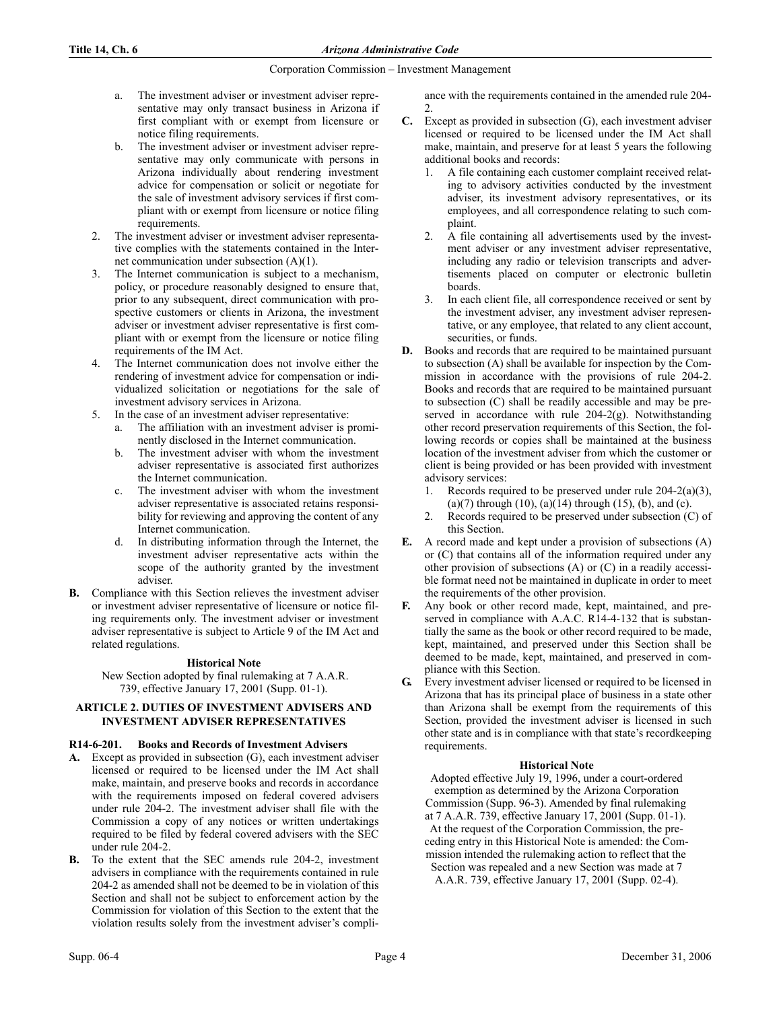- a. The investment adviser or investment adviser representative may only transact business in Arizona if first compliant with or exempt from licensure or notice filing requirements.
- b. The investment adviser or investment adviser representative may only communicate with persons in Arizona individually about rendering investment advice for compensation or solicit or negotiate for the sale of investment advisory services if first compliant with or exempt from licensure or notice filing requirements.
- 2. The investment adviser or investment adviser representative complies with the statements contained in the Internet communication under subsection (A)(1).
- 3. The Internet communication is subject to a mechanism, policy, or procedure reasonably designed to ensure that, prior to any subsequent, direct communication with prospective customers or clients in Arizona, the investment adviser or investment adviser representative is first compliant with or exempt from the licensure or notice filing requirements of the IM Act.
- 4. The Internet communication does not involve either the rendering of investment advice for compensation or individualized solicitation or negotiations for the sale of investment advisory services in Arizona.
	- In the case of an investment adviser representative:
		- a. The affiliation with an investment adviser is prominently disclosed in the Internet communication.
		- b. The investment adviser with whom the investment adviser representative is associated first authorizes the Internet communication.
		- The investment adviser with whom the investment adviser representative is associated retains responsibility for reviewing and approving the content of any Internet communication.
		- d. In distributing information through the Internet, the investment adviser representative acts within the scope of the authority granted by the investment adviser.
- **B.** Compliance with this Section relieves the investment adviser or investment adviser representative of licensure or notice filing requirements only. The investment adviser or investment adviser representative is subject to Article 9 of the IM Act and related regulations.

# **Historical Note**

 New Section adopted by final rulemaking at 7 A.A.R. 739, effective January 17, 2001 (Supp. 01-1).

# **ARTICLE 2. DUTIES OF INVESTMENT ADVISERS AND INVESTMENT ADVISER REPRESENTATIVES**

# **R14-6-201. Books and Records of Investment Advisers**

- **A.** Except as provided in subsection (G), each investment adviser licensed or required to be licensed under the IM Act shall make, maintain, and preserve books and records in accordance with the requirements imposed on federal covered advisers under rule 204-2. The investment adviser shall file with the Commission a copy of any notices or written undertakings required to be filed by federal covered advisers with the SEC under rule 204-2.
- **B.** To the extent that the SEC amends rule 204-2, investment advisers in compliance with the requirements contained in rule 204-2 as amended shall not be deemed to be in violation of this Section and shall not be subject to enforcement action by the Commission for violation of this Section to the extent that the violation results solely from the investment adviser's compli-

ance with the requirements contained in the amended rule 204- 2.

- **C.** Except as provided in subsection (G), each investment adviser licensed or required to be licensed under the IM Act shall make, maintain, and preserve for at least 5 years the following additional books and records:
	- 1. A file containing each customer complaint received relating to advisory activities conducted by the investment adviser, its investment advisory representatives, or its employees, and all correspondence relating to such complaint.
	- 2. A file containing all advertisements used by the investment adviser or any investment adviser representative, including any radio or television transcripts and advertisements placed on computer or electronic bulletin boards.
	- In each client file, all correspondence received or sent by the investment adviser, any investment adviser representative, or any employee, that related to any client account, securities, or funds.
- **D.** Books and records that are required to be maintained pursuant to subsection (A) shall be available for inspection by the Commission in accordance with the provisions of rule 204-2. Books and records that are required to be maintained pursuant to subsection (C) shall be readily accessible and may be preserved in accordance with rule 204-2(g). Notwithstanding other record preservation requirements of this Section, the following records or copies shall be maintained at the business location of the investment adviser from which the customer or client is being provided or has been provided with investment advisory services:
	- 1. Records required to be preserved under rule 204-2(a)(3),  $(a)(7)$  through  $(10)$ ,  $(a)(14)$  through  $(15)$ ,  $(b)$ , and  $(c)$ .
	- 2. Records required to be preserved under subsection (C) of this Section.
- **E.** A record made and kept under a provision of subsections (A) or (C) that contains all of the information required under any other provision of subsections (A) or (C) in a readily accessible format need not be maintained in duplicate in order to meet the requirements of the other provision.
- **F.** Any book or other record made, kept, maintained, and preserved in compliance with A.A.C. R14-4-132 that is substantially the same as the book or other record required to be made, kept, maintained, and preserved under this Section shall be deemed to be made, kept, maintained, and preserved in compliance with this Section.
- **G.** Every investment adviser licensed or required to be licensed in Arizona that has its principal place of business in a state other than Arizona shall be exempt from the requirements of this Section, provided the investment adviser is licensed in such other state and is in compliance with that state's recordkeeping requirements.

# **Historical Note**

Adopted effective July 19, 1996, under a court-ordered exemption as determined by the Arizona Corporation Commission (Supp. 96-3). Amended by final rulemaking at 7 A.A.R. 739, effective January 17, 2001 (Supp. 01-1). At the request of the Corporation Commission, the preceding entry in this Historical Note is amended: the Commission intended the rulemaking action to reflect that the Section was repealed and a new Section was made at 7 A.A.R. 739, effective January 17, 2001 (Supp. 02-4).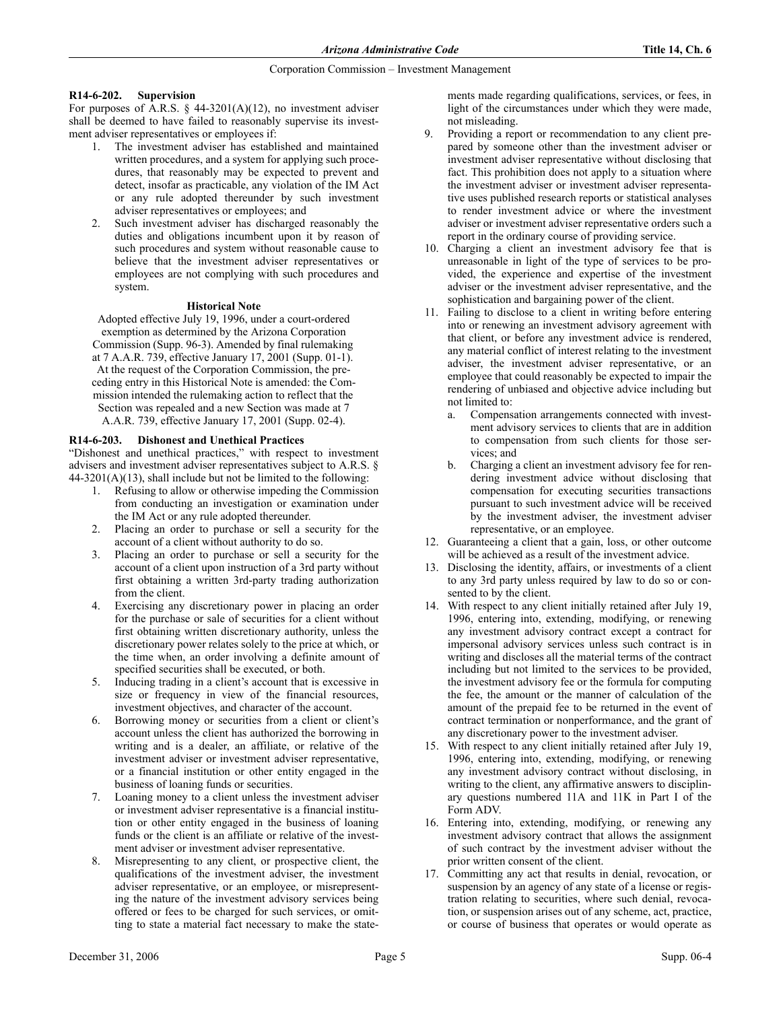# **R14-6-202. Supervision**

For purposes of A.R.S.  $\S$  44-3201(A)(12), no investment adviser shall be deemed to have failed to reasonably supervise its investment adviser representatives or employees if:

- 1. The investment adviser has established and maintained written procedures, and a system for applying such procedures, that reasonably may be expected to prevent and detect, insofar as practicable, any violation of the IM Act or any rule adopted thereunder by such investment adviser representatives or employees; and
- 2. Such investment adviser has discharged reasonably the duties and obligations incumbent upon it by reason of such procedures and system without reasonable cause to believe that the investment adviser representatives or employees are not complying with such procedures and system.

# **Historical Note**

Adopted effective July 19, 1996, under a court-ordered exemption as determined by the Arizona Corporation Commission (Supp. 96-3). Amended by final rulemaking at 7 A.A.R. 739, effective January 17, 2001 (Supp. 01-1). At the request of the Corporation Commission, the preceding entry in this Historical Note is amended: the Commission intended the rulemaking action to reflect that the Section was repealed and a new Section was made at 7 A.A.R. 739, effective January 17, 2001 (Supp. 02-4).

# **R14-6-203. Dishonest and Unethical Practices**

"Dishonest and unethical practices," with respect to investment advisers and investment adviser representatives subject to A.R.S. § 44-3201(A)(13), shall include but not be limited to the following:

- 1. Refusing to allow or otherwise impeding the Commission from conducting an investigation or examination under the IM Act or any rule adopted thereunder.
- 2. Placing an order to purchase or sell a security for the account of a client without authority to do so.
- 3. Placing an order to purchase or sell a security for the account of a client upon instruction of a 3rd party without first obtaining a written 3rd-party trading authorization from the client.
- 4. Exercising any discretionary power in placing an order for the purchase or sale of securities for a client without first obtaining written discretionary authority, unless the discretionary power relates solely to the price at which, or the time when, an order involving a definite amount of specified securities shall be executed, or both.
- 5. Inducing trading in a client's account that is excessive in size or frequency in view of the financial resources, investment objectives, and character of the account.
- Borrowing money or securities from a client or client's account unless the client has authorized the borrowing in writing and is a dealer, an affiliate, or relative of the investment adviser or investment adviser representative, or a financial institution or other entity engaged in the business of loaning funds or securities.
- 7. Loaning money to a client unless the investment adviser or investment adviser representative is a financial institution or other entity engaged in the business of loaning funds or the client is an affiliate or relative of the investment adviser or investment adviser representative.
- Misrepresenting to any client, or prospective client, the qualifications of the investment adviser, the investment adviser representative, or an employee, or misrepresenting the nature of the investment advisory services being offered or fees to be charged for such services, or omitting to state a material fact necessary to make the state-

ments made regarding qualifications, services, or fees, in light of the circumstances under which they were made, not misleading.

- Providing a report or recommendation to any client prepared by someone other than the investment adviser or investment adviser representative without disclosing that fact. This prohibition does not apply to a situation where the investment adviser or investment adviser representative uses published research reports or statistical analyses to render investment advice or where the investment adviser or investment adviser representative orders such a report in the ordinary course of providing service.
- 10. Charging a client an investment advisory fee that is unreasonable in light of the type of services to be provided, the experience and expertise of the investment adviser or the investment adviser representative, and the sophistication and bargaining power of the client.
- 11. Failing to disclose to a client in writing before entering into or renewing an investment advisory agreement with that client, or before any investment advice is rendered, any material conflict of interest relating to the investment adviser, the investment adviser representative, or an employee that could reasonably be expected to impair the rendering of unbiased and objective advice including but not limited to:
	- a. Compensation arrangements connected with investment advisory services to clients that are in addition to compensation from such clients for those services; and
	- b. Charging a client an investment advisory fee for rendering investment advice without disclosing that compensation for executing securities transactions pursuant to such investment advice will be received by the investment adviser, the investment adviser representative, or an employee.
- 12. Guaranteeing a client that a gain, loss, or other outcome will be achieved as a result of the investment advice.
- 13. Disclosing the identity, affairs, or investments of a client to any 3rd party unless required by law to do so or consented to by the client.
- 14. With respect to any client initially retained after July 19, 1996, entering into, extending, modifying, or renewing any investment advisory contract except a contract for impersonal advisory services unless such contract is in writing and discloses all the material terms of the contract including but not limited to the services to be provided, the investment advisory fee or the formula for computing the fee, the amount or the manner of calculation of the amount of the prepaid fee to be returned in the event of contract termination or nonperformance, and the grant of any discretionary power to the investment adviser.
- 15. With respect to any client initially retained after July 19, 1996, entering into, extending, modifying, or renewing any investment advisory contract without disclosing, in writing to the client, any affirmative answers to disciplinary questions numbered 11A and 11K in Part I of the Form ADV.
- 16. Entering into, extending, modifying, or renewing any investment advisory contract that allows the assignment of such contract by the investment adviser without the prior written consent of the client.
- 17. Committing any act that results in denial, revocation, or suspension by an agency of any state of a license or registration relating to securities, where such denial, revocation, or suspension arises out of any scheme, act, practice, or course of business that operates or would operate as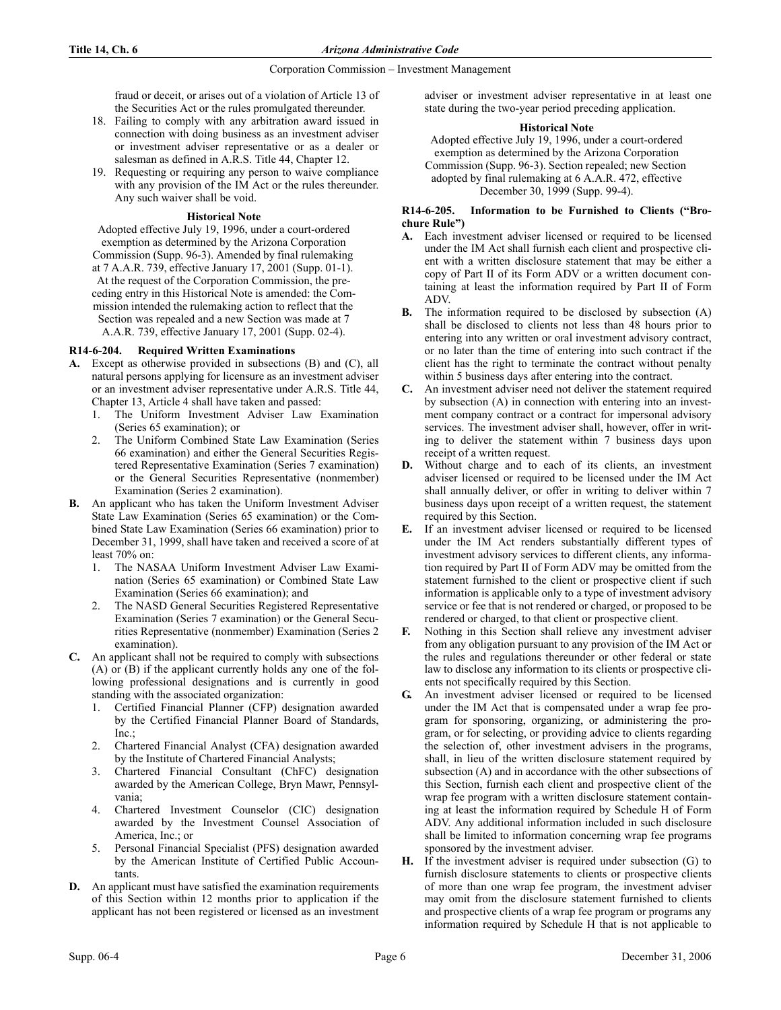fraud or deceit, or arises out of a violation of Article 13 of the Securities Act or the rules promulgated thereunder.

- 18. Failing to comply with any arbitration award issued in connection with doing business as an investment adviser or investment adviser representative or as a dealer or salesman as defined in A.R.S. Title 44, Chapter 12.
- 19. Requesting or requiring any person to waive compliance with any provision of the IM Act or the rules thereunder. Any such waiver shall be void.

# **Historical Note**

Adopted effective July 19, 1996, under a court-ordered exemption as determined by the Arizona Corporation Commission (Supp. 96-3). Amended by final rulemaking at 7 A.A.R. 739, effective January 17, 2001 (Supp. 01-1). At the request of the Corporation Commission, the preceding entry in this Historical Note is amended: the Commission intended the rulemaking action to reflect that the Section was repealed and a new Section was made at 7 A.A.R. 739, effective January 17, 2001 (Supp. 02-4).

# **R14-6-204. Required Written Examinations**

- **A.** Except as otherwise provided in subsections (B) and (C), all natural persons applying for licensure as an investment adviser or an investment adviser representative under A.R.S. Title 44, Chapter 13, Article 4 shall have taken and passed:
	- 1. The Uniform Investment Adviser Law Examination (Series 65 examination); or
	- 2. The Uniform Combined State Law Examination (Series 66 examination) and either the General Securities Registered Representative Examination (Series 7 examination) or the General Securities Representative (nonmember) Examination (Series 2 examination).
- **B.** An applicant who has taken the Uniform Investment Adviser State Law Examination (Series 65 examination) or the Combined State Law Examination (Series 66 examination) prior to December 31, 1999, shall have taken and received a score of at least 70% on:
	- 1. The NASAA Uniform Investment Adviser Law Examination (Series 65 examination) or Combined State Law Examination (Series 66 examination); and
	- 2. The NASD General Securities Registered Representative Examination (Series 7 examination) or the General Securities Representative (nonmember) Examination (Series 2 examination).
- **C.** An applicant shall not be required to comply with subsections (A) or (B) if the applicant currently holds any one of the following professional designations and is currently in good standing with the associated organization:
	- 1. Certified Financial Planner (CFP) designation awarded by the Certified Financial Planner Board of Standards, Inc.;
	- 2. Chartered Financial Analyst (CFA) designation awarded by the Institute of Chartered Financial Analysts;
	- 3. Chartered Financial Consultant (ChFC) designation awarded by the American College, Bryn Mawr, Pennsylvania;
	- 4. Chartered Investment Counselor (CIC) designation awarded by the Investment Counsel Association of America, Inc.; or
	- 5. Personal Financial Specialist (PFS) designation awarded by the American Institute of Certified Public Accountants.
- **D.** An applicant must have satisfied the examination requirements of this Section within 12 months prior to application if the applicant has not been registered or licensed as an investment

adviser or investment adviser representative in at least one state during the two-year period preceding application.

# **Historical Note**

Adopted effective July 19, 1996, under a court-ordered exemption as determined by the Arizona Corporation Commission (Supp. 96-3). Section repealed; new Section adopted by final rulemaking at 6 A.A.R. 472, effective December 30, 1999 (Supp. 99-4).

## **R14-6-205. Information to be Furnished to Clients ("Brochure Rule")**

- **A.** Each investment adviser licensed or required to be licensed under the IM Act shall furnish each client and prospective client with a written disclosure statement that may be either a copy of Part II of its Form ADV or a written document containing at least the information required by Part II of Form ADV.
- **B.** The information required to be disclosed by subsection (A) shall be disclosed to clients not less than 48 hours prior to entering into any written or oral investment advisory contract, or no later than the time of entering into such contract if the client has the right to terminate the contract without penalty within 5 business days after entering into the contract.
- **C.** An investment adviser need not deliver the statement required by subsection (A) in connection with entering into an investment company contract or a contract for impersonal advisory services. The investment adviser shall, however, offer in writing to deliver the statement within 7 business days upon receipt of a written request.
- **D.** Without charge and to each of its clients, an investment adviser licensed or required to be licensed under the IM Act shall annually deliver, or offer in writing to deliver within 7 business days upon receipt of a written request, the statement required by this Section.
- **E.** If an investment adviser licensed or required to be licensed under the IM Act renders substantially different types of investment advisory services to different clients, any information required by Part II of Form ADV may be omitted from the statement furnished to the client or prospective client if such information is applicable only to a type of investment advisory service or fee that is not rendered or charged, or proposed to be rendered or charged, to that client or prospective client.
- **F.** Nothing in this Section shall relieve any investment adviser from any obligation pursuant to any provision of the IM Act or the rules and regulations thereunder or other federal or state law to disclose any information to its clients or prospective clients not specifically required by this Section.
- **G.** An investment adviser licensed or required to be licensed under the IM Act that is compensated under a wrap fee program for sponsoring, organizing, or administering the program, or for selecting, or providing advice to clients regarding the selection of, other investment advisers in the programs, shall, in lieu of the written disclosure statement required by subsection (A) and in accordance with the other subsections of this Section, furnish each client and prospective client of the wrap fee program with a written disclosure statement containing at least the information required by Schedule H of Form ADV. Any additional information included in such disclosure shall be limited to information concerning wrap fee programs sponsored by the investment adviser.
- **H.** If the investment adviser is required under subsection (G) to furnish disclosure statements to clients or prospective clients of more than one wrap fee program, the investment adviser may omit from the disclosure statement furnished to clients and prospective clients of a wrap fee program or programs any information required by Schedule H that is not applicable to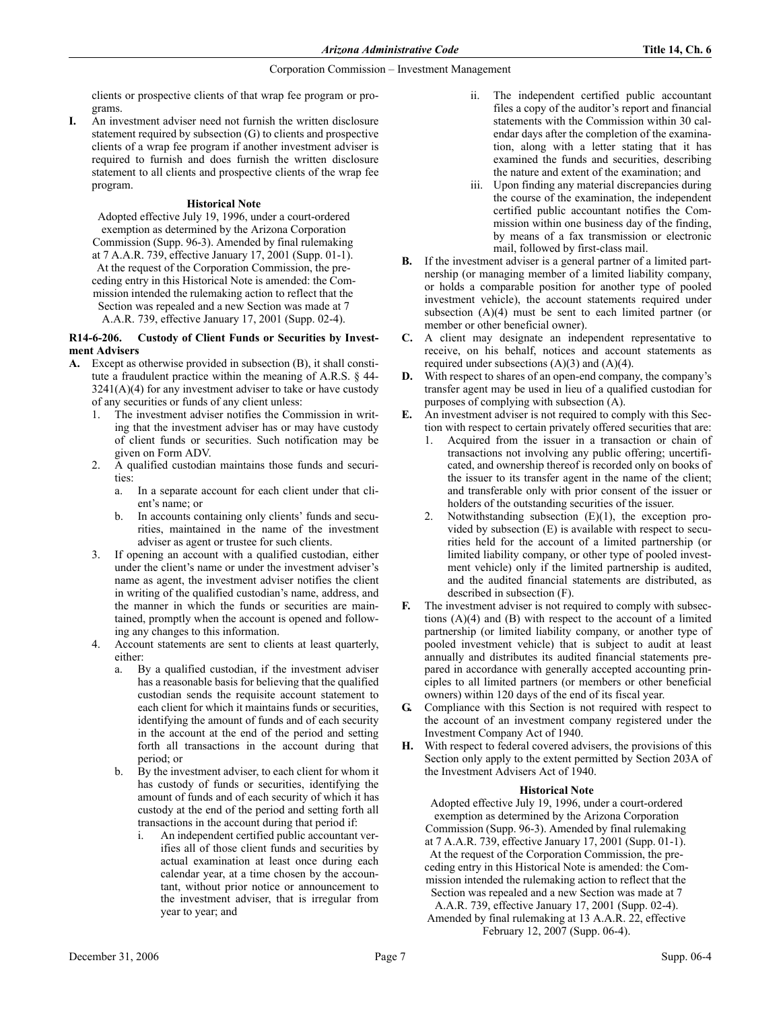clients or prospective clients of that wrap fee program or programs.

**I.** An investment adviser need not furnish the written disclosure statement required by subsection (G) to clients and prospective clients of a wrap fee program if another investment adviser is required to furnish and does furnish the written disclosure statement to all clients and prospective clients of the wrap fee program.

# **Historical Note**

Adopted effective July 19, 1996, under a court-ordered exemption as determined by the Arizona Corporation Commission (Supp. 96-3). Amended by final rulemaking at 7 A.A.R. 739, effective January 17, 2001 (Supp. 01-1). At the request of the Corporation Commission, the preceding entry in this Historical Note is amended: the Commission intended the rulemaking action to reflect that the Section was repealed and a new Section was made at 7 A.A.R. 739, effective January 17, 2001 (Supp. 02-4).

# **R14-6-206. Custody of Client Funds or Securities by Investment Advisers**

- **A.** Except as otherwise provided in subsection (B), it shall constitute a fraudulent practice within the meaning of A.R.S. § 44-  $3241(A)(4)$  for any investment adviser to take or have custody of any securities or funds of any client unless:
	- 1. The investment adviser notifies the Commission in writing that the investment adviser has or may have custody of client funds or securities. Such notification may be given on Form ADV.
	- 2. A qualified custodian maintains those funds and securities:
		- a. In a separate account for each client under that client's name; or
		- b. In accounts containing only clients' funds and securities, maintained in the name of the investment adviser as agent or trustee for such clients.
	- 3. If opening an account with a qualified custodian, either under the client's name or under the investment adviser's name as agent, the investment adviser notifies the client in writing of the qualified custodian's name, address, and the manner in which the funds or securities are maintained, promptly when the account is opened and following any changes to this information.
	- 4. Account statements are sent to clients at least quarterly, either:
		- By a qualified custodian, if the investment adviser has a reasonable basis for believing that the qualified custodian sends the requisite account statement to each client for which it maintains funds or securities, identifying the amount of funds and of each security in the account at the end of the period and setting forth all transactions in the account during that period; or
		- b. By the investment adviser, to each client for whom it has custody of funds or securities, identifying the amount of funds and of each security of which it has custody at the end of the period and setting forth all transactions in the account during that period if:
			- i. An independent certified public accountant verifies all of those client funds and securities by actual examination at least once during each calendar year, at a time chosen by the accountant, without prior notice or announcement to the investment adviser, that is irregular from year to year; and
- ii. The independent certified public accountant files a copy of the auditor's report and financial statements with the Commission within 30 calendar days after the completion of the examination, along with a letter stating that it has examined the funds and securities, describing the nature and extent of the examination; and
- iii. Upon finding any material discrepancies during the course of the examination, the independent certified public accountant notifies the Commission within one business day of the finding, by means of a fax transmission or electronic mail, followed by first-class mail.
- **B.** If the investment adviser is a general partner of a limited partnership (or managing member of a limited liability company, or holds a comparable position for another type of pooled investment vehicle), the account statements required under subsection (A)(4) must be sent to each limited partner (or member or other beneficial owner).
- **C.** A client may designate an independent representative to receive, on his behalf, notices and account statements as required under subsections  $(A)(3)$  and  $(A)(4)$ .
- **D.** With respect to shares of an open-end company, the company's transfer agent may be used in lieu of a qualified custodian for purposes of complying with subsection (A).
- **E.** An investment adviser is not required to comply with this Section with respect to certain privately offered securities that are:
	- 1. Acquired from the issuer in a transaction or chain of transactions not involving any public offering; uncertificated, and ownership thereof is recorded only on books of the issuer to its transfer agent in the name of the client; and transferable only with prior consent of the issuer or holders of the outstanding securities of the issuer.
	- 2. Notwithstanding subsection (E)(1), the exception provided by subsection (E) is available with respect to securities held for the account of a limited partnership (or limited liability company, or other type of pooled investment vehicle) only if the limited partnership is audited, and the audited financial statements are distributed, as described in subsection (F).
- **F.** The investment adviser is not required to comply with subsections (A)(4) and (B) with respect to the account of a limited partnership (or limited liability company, or another type of pooled investment vehicle) that is subject to audit at least annually and distributes its audited financial statements prepared in accordance with generally accepted accounting principles to all limited partners (or members or other beneficial owners) within 120 days of the end of its fiscal year.
- **G.** Compliance with this Section is not required with respect to the account of an investment company registered under the Investment Company Act of 1940.
- **H.** With respect to federal covered advisers, the provisions of this Section only apply to the extent permitted by Section 203A of the Investment Advisers Act of 1940.

# **Historical Note**

Adopted effective July 19, 1996, under a court-ordered exemption as determined by the Arizona Corporation Commission (Supp. 96-3). Amended by final rulemaking at 7 A.A.R. 739, effective January 17, 2001 (Supp. 01-1). At the request of the Corporation Commission, the preceding entry in this Historical Note is amended: the Commission intended the rulemaking action to reflect that the Section was repealed and a new Section was made at 7

A.A.R. 739, effective January 17, 2001 (Supp. 02-4). Amended by final rulemaking at 13 A.A.R. 22, effective February 12, 2007 (Supp. 06-4).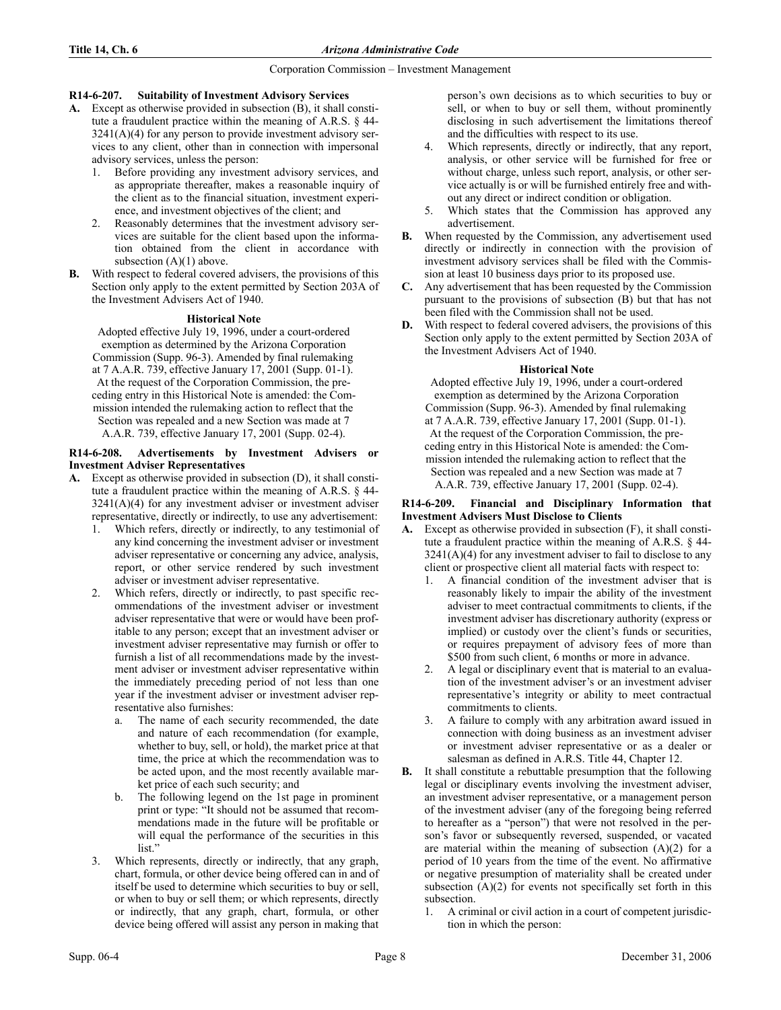# **R14-6-207. Suitability of Investment Advisory Services**

- **A.** Except as otherwise provided in subsection (B), it shall constitute a fraudulent practice within the meaning of A.R.S. § 44-  $3241(A)(4)$  for any person to provide investment advisory services to any client, other than in connection with impersonal advisory services, unless the person:
	- 1. Before providing any investment advisory services, and as appropriate thereafter, makes a reasonable inquiry of the client as to the financial situation, investment experience, and investment objectives of the client; and
	- 2. Reasonably determines that the investment advisory services are suitable for the client based upon the information obtained from the client in accordance with subsection  $(A)(1)$  above.
- **B.** With respect to federal covered advisers, the provisions of this Section only apply to the extent permitted by Section 203A of the Investment Advisers Act of 1940.

# **Historical Note**

Adopted effective July 19, 1996, under a court-ordered exemption as determined by the Arizona Corporation Commission (Supp. 96-3). Amended by final rulemaking at 7 A.A.R. 739, effective January 17, 2001 (Supp. 01-1). At the request of the Corporation Commission, the preceding entry in this Historical Note is amended: the Commission intended the rulemaking action to reflect that the Section was repealed and a new Section was made at 7 A.A.R. 739, effective January 17, 2001 (Supp. 02-4).

# **R14-6-208. Advertisements by Investment Advisers or Investment Adviser Representatives**

- **A.** Except as otherwise provided in subsection (D), it shall constitute a fraudulent practice within the meaning of A.R.S. § 44-  $3241(A)(4)$  for any investment adviser or investment adviser representative, directly or indirectly, to use any advertisement:
	- 1. Which refers, directly or indirectly, to any testimonial of any kind concerning the investment adviser or investment adviser representative or concerning any advice, analysis, report, or other service rendered by such investment adviser or investment adviser representative.
	- 2. Which refers, directly or indirectly, to past specific recommendations of the investment adviser or investment adviser representative that were or would have been profitable to any person; except that an investment adviser or investment adviser representative may furnish or offer to furnish a list of all recommendations made by the investment adviser or investment adviser representative within the immediately preceding period of not less than one year if the investment adviser or investment adviser representative also furnishes:
		- a. The name of each security recommended, the date and nature of each recommendation (for example, whether to buy, sell, or hold), the market price at that time, the price at which the recommendation was to be acted upon, and the most recently available market price of each such security; and
		- b. The following legend on the 1st page in prominent print or type: "It should not be assumed that recommendations made in the future will be profitable or will equal the performance of the securities in this list."
	- 3. Which represents, directly or indirectly, that any graph, chart, formula, or other device being offered can in and of itself be used to determine which securities to buy or sell, or when to buy or sell them; or which represents, directly or indirectly, that any graph, chart, formula, or other device being offered will assist any person in making that

person's own decisions as to which securities to buy or sell, or when to buy or sell them, without prominently disclosing in such advertisement the limitations thereof and the difficulties with respect to its use.

- 4. Which represents, directly or indirectly, that any report, analysis, or other service will be furnished for free or without charge, unless such report, analysis, or other service actually is or will be furnished entirely free and without any direct or indirect condition or obligation.
- 5. Which states that the Commission has approved any advertisement.
- **B.** When requested by the Commission, any advertisement used directly or indirectly in connection with the provision of investment advisory services shall be filed with the Commission at least 10 business days prior to its proposed use.
- **C.** Any advertisement that has been requested by the Commission pursuant to the provisions of subsection (B) but that has not been filed with the Commission shall not be used.
- **D.** With respect to federal covered advisers, the provisions of this Section only apply to the extent permitted by Section 203A of the Investment Advisers Act of 1940.

# **Historical Note**

Adopted effective July 19, 1996, under a court-ordered exemption as determined by the Arizona Corporation Commission (Supp. 96-3). Amended by final rulemaking at 7 A.A.R. 739, effective January 17, 2001 (Supp. 01-1). At the request of the Corporation Commission, the preceding entry in this Historical Note is amended: the Commission intended the rulemaking action to reflect that the Section was repealed and a new Section was made at 7 A.A.R. 739, effective January 17, 2001 (Supp. 02-4).

#### **R14-6-209. Financial and Disciplinary Information that Investment Advisers Must Disclose to Clients**

- **A.** Except as otherwise provided in subsection (F), it shall constitute a fraudulent practice within the meaning of A.R.S. § 44-  $3241(A)(4)$  for any investment adviser to fail to disclose to any client or prospective client all material facts with respect to:
	- 1. A financial condition of the investment adviser that is reasonably likely to impair the ability of the investment adviser to meet contractual commitments to clients, if the investment adviser has discretionary authority (express or implied) or custody over the client's funds or securities, or requires prepayment of advisory fees of more than \$500 from such client, 6 months or more in advance.
	- 2. A legal or disciplinary event that is material to an evaluation of the investment adviser's or an investment adviser representative's integrity or ability to meet contractual commitments to clients.
	- 3. A failure to comply with any arbitration award issued in connection with doing business as an investment adviser or investment adviser representative or as a dealer or salesman as defined in A.R.S. Title 44, Chapter 12.
- **B.** It shall constitute a rebuttable presumption that the following legal or disciplinary events involving the investment adviser, an investment adviser representative, or a management person of the investment adviser (any of the foregoing being referred to hereafter as a "person") that were not resolved in the person's favor or subsequently reversed, suspended, or vacated are material within the meaning of subsection  $(A)(2)$  for a period of 10 years from the time of the event. No affirmative or negative presumption of materiality shall be created under subsection  $(A)(2)$  for events not specifically set forth in this subsection.
	- 1. A criminal or civil action in a court of competent jurisdiction in which the person: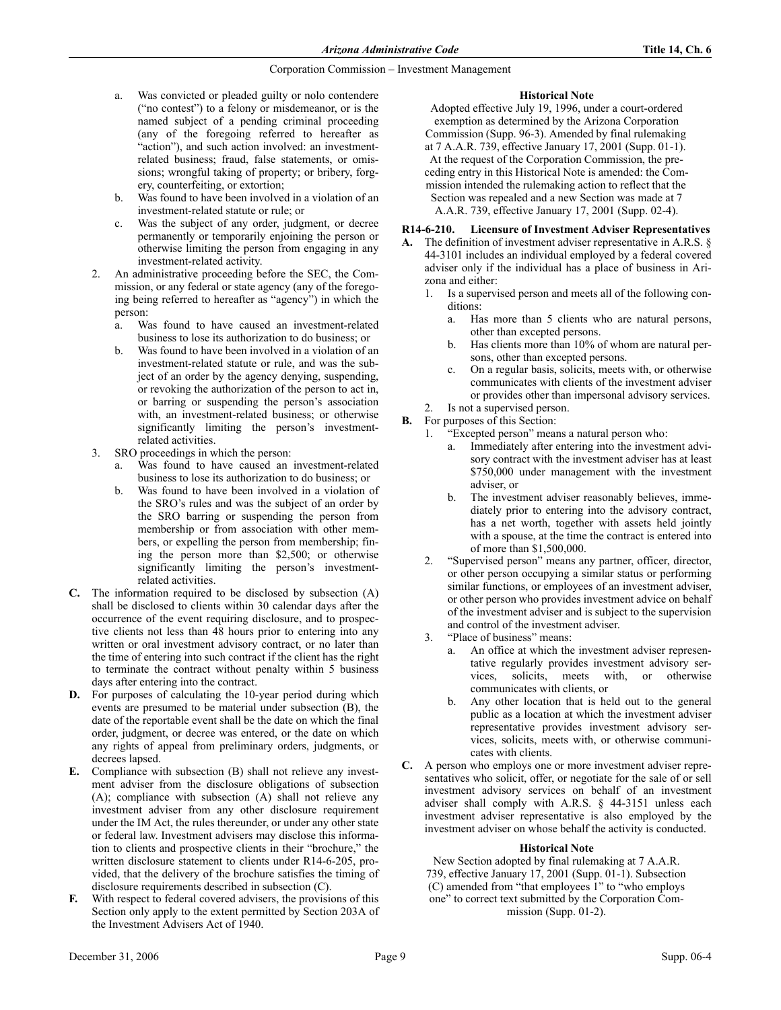- a. Was convicted or pleaded guilty or nolo contendere ("no contest") to a felony or misdemeanor, or is the named subject of a pending criminal proceeding (any of the foregoing referred to hereafter as "action"), and such action involved: an investmentrelated business; fraud, false statements, or omissions; wrongful taking of property; or bribery, forgery, counterfeiting, or extortion;
- b. Was found to have been involved in a violation of an investment-related statute or rule; or
- c. Was the subject of any order, judgment, or decree permanently or temporarily enjoining the person or otherwise limiting the person from engaging in any investment-related activity.
- 2. An administrative proceeding before the SEC, the Commission, or any federal or state agency (any of the foregoing being referred to hereafter as "agency") in which the person:
	- a. Was found to have caused an investment-related business to lose its authorization to do business; or
	- b. Was found to have been involved in a violation of an investment-related statute or rule, and was the subject of an order by the agency denying, suspending, or revoking the authorization of the person to act in, or barring or suspending the person's association with, an investment-related business; or otherwise significantly limiting the person's investmentrelated activities.
- 3. SRO proceedings in which the person:
	- a. Was found to have caused an investment-related business to lose its authorization to do business; or
	- b. Was found to have been involved in a violation of the SRO's rules and was the subject of an order by the SRO barring or suspending the person from membership or from association with other members, or expelling the person from membership; fining the person more than \$2,500; or otherwise significantly limiting the person's investmentrelated activities.
- **C.** The information required to be disclosed by subsection (A) shall be disclosed to clients within 30 calendar days after the occurrence of the event requiring disclosure, and to prospective clients not less than 48 hours prior to entering into any written or oral investment advisory contract, or no later than the time of entering into such contract if the client has the right to terminate the contract without penalty within 5 business days after entering into the contract.
- **D.** For purposes of calculating the 10-year period during which events are presumed to be material under subsection (B), the date of the reportable event shall be the date on which the final order, judgment, or decree was entered, or the date on which any rights of appeal from preliminary orders, judgments, or decrees lapsed.
- **E.** Compliance with subsection (B) shall not relieve any investment adviser from the disclosure obligations of subsection (A); compliance with subsection (A) shall not relieve any investment adviser from any other disclosure requirement under the IM Act, the rules thereunder, or under any other state or federal law. Investment advisers may disclose this information to clients and prospective clients in their "brochure," the written disclosure statement to clients under R14-6-205, provided, that the delivery of the brochure satisfies the timing of disclosure requirements described in subsection (C).
- With respect to federal covered advisers, the provisions of this Section only apply to the extent permitted by Section 203A of the Investment Advisers Act of 1940.

# **Historical Note**

Adopted effective July 19, 1996, under a court-ordered exemption as determined by the Arizona Corporation Commission (Supp. 96-3). Amended by final rulemaking at 7 A.A.R. 739, effective January 17, 2001 (Supp. 01-1). At the request of the Corporation Commission, the preceding entry in this Historical Note is amended: the Commission intended the rulemaking action to reflect that the Section was repealed and a new Section was made at 7 A.A.R. 739, effective January 17, 2001 (Supp. 02-4).

# **R14-6-210. Licensure of Investment Adviser Representatives**

- **A.** The definition of investment adviser representative in A.R.S. § 44-3101 includes an individual employed by a federal covered adviser only if the individual has a place of business in Arizona and either:
	- 1. Is a supervised person and meets all of the following conditions:
		- a. Has more than 5 clients who are natural persons, other than excepted persons.
		- b. Has clients more than 10% of whom are natural persons, other than excepted persons.
		- c. On a regular basis, solicits, meets with, or otherwise communicates with clients of the investment adviser or provides other than impersonal advisory services.
	- 2. Is not a supervised person.
- **B.** For purposes of this Section:
	- 1. "Excepted person" means a natural person who:
		- Immediately after entering into the investment advisory contract with the investment adviser has at least \$750,000 under management with the investment adviser, or
		- b. The investment adviser reasonably believes, immediately prior to entering into the advisory contract, has a net worth, together with assets held jointly with a spouse, at the time the contract is entered into of more than \$1,500,000.
	- 2. "Supervised person" means any partner, officer, director, or other person occupying a similar status or performing similar functions, or employees of an investment adviser, or other person who provides investment advice on behalf of the investment adviser and is subject to the supervision and control of the investment adviser.
	- 3. "Place of business" means:
		- a. An office at which the investment adviser representative regularly provides investment advisory services, solicits, meets with, or otherwise communicates with clients, or
		- b. Any other location that is held out to the general public as a location at which the investment adviser representative provides investment advisory services, solicits, meets with, or otherwise communicates with clients.
- **C.** A person who employs one or more investment adviser representatives who solicit, offer, or negotiate for the sale of or sell investment advisory services on behalf of an investment adviser shall comply with A.R.S. § 44-3151 unless each investment adviser representative is also employed by the investment adviser on whose behalf the activity is conducted.

# **Historical Note**

New Section adopted by final rulemaking at 7 A.A.R. 739, effective January 17, 2001 (Supp. 01-1). Subsection (C) amended from "that employees 1" to "who employs one" to correct text submitted by the Corporation Commission (Supp. 01-2).